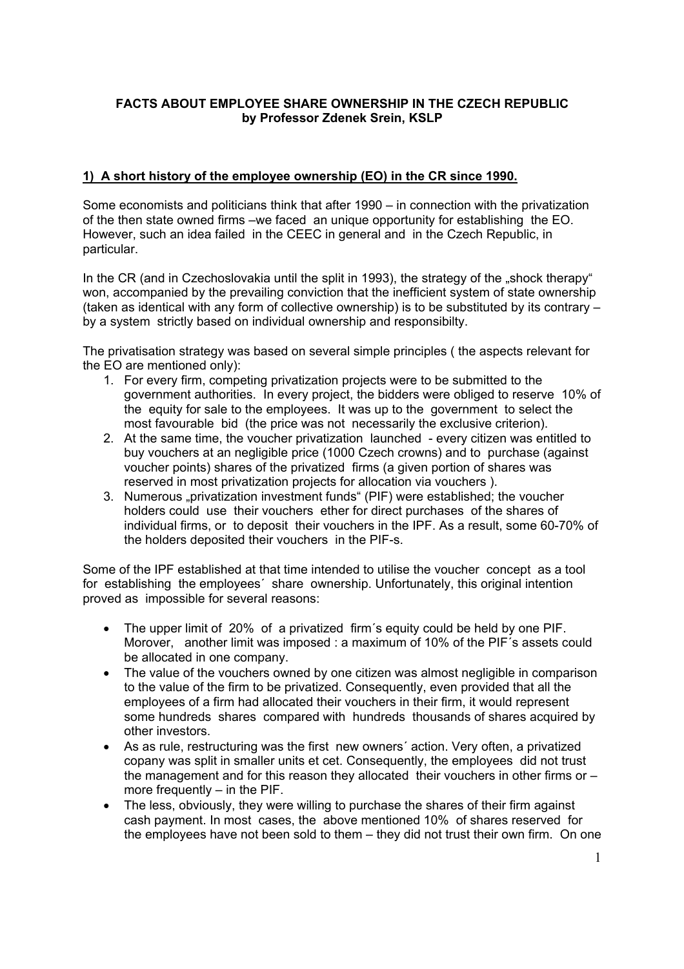## **FACTS ABOUT EMPLOYEE SHARE OWNERSHIP IN THE CZECH REPUBLIC by Professor Zdenek Srein, KSLP**

## **1) A short history of the employee ownership (EO) in the CR since 1990.**

Some economists and politicians think that after 1990 – in connection with the privatization of the then state owned firms –we faced an unique opportunity for establishing the EO. However, such an idea failed in the CEEC in general and in the Czech Republic, in particular.

In the CR (and in Czechoslovakia until the split in 1993), the strategy of the "shock therapy" won, accompanied by the prevailing conviction that the inefficient system of state ownership (taken as identical with any form of collective ownership) is to be substituted by its contrary – by a system strictly based on individual ownership and responsibilty.

The privatisation strategy was based on several simple principles ( the aspects relevant for the EO are mentioned only):

- 1. For every firm, competing privatization projects were to be submitted to the government authorities. In every project, the bidders were obliged to reserve 10% of the equity for sale to the employees. It was up to the government to select the most favourable bid (the price was not necessarily the exclusive criterion).
- 2. At the same time, the voucher privatization launched every citizen was entitled to buy vouchers at an negligible price (1000 Czech crowns) and to purchase (against voucher points) shares of the privatized firms (a given portion of shares was reserved in most privatization projects for allocation via vouchers ).
- 3. Numerous "privatization investment funds" (PIF) were established; the voucher holders could use their vouchers ether for direct purchases of the shares of individual firms, or to deposit their vouchers in the IPF. As a result, some 60-70% of the holders deposited their vouchers in the PIF-s.

Some of the IPF established at that time intended to utilise the voucher concept as a tool for establishing the employees´ share ownership. Unfortunately, this original intention proved as impossible for several reasons:

- The upper limit of 20% of a privatized firm´s equity could be held by one PIF. Morover, another limit was imposed : a maximum of 10% of the PIF´s assets could be allocated in one company.
- The value of the vouchers owned by one citizen was almost negligible in comparison to the value of the firm to be privatized. Consequently, even provided that all the employees of a firm had allocated their vouchers in their firm, it would represent some hundreds shares compared with hundreds thousands of shares acquired by other investors.
- As as rule, restructuring was the first new owners´ action. Very often, a privatized copany was split in smaller units et cet. Consequently, the employees did not trust the management and for this reason they allocated their vouchers in other firms or – more frequently – in the PIF.
- The less, obviously, they were willing to purchase the shares of their firm against cash payment. In most cases, the above mentioned 10% of shares reserved for the employees have not been sold to them – they did not trust their own firm. On one